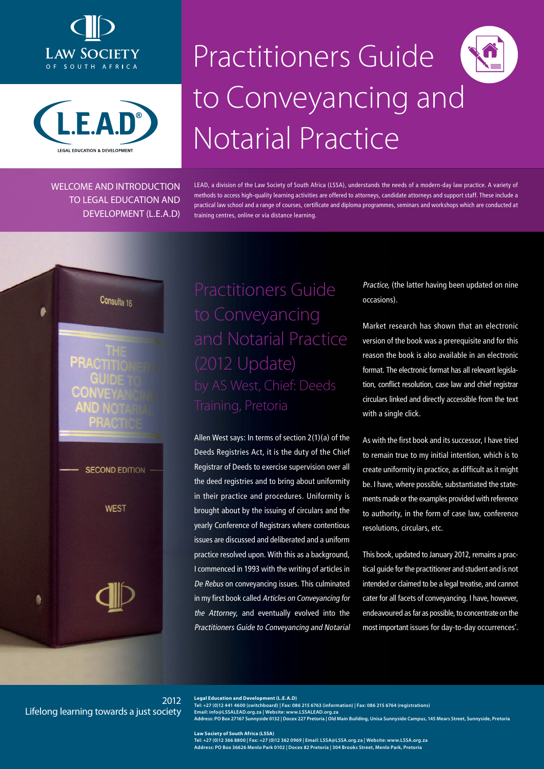



WELCOME AND INTRODUCTION TO LEGAL EDUCATION AND DEVELOPMENT (L.E.A.D)

# Practitioners Guide to Conveyancing and Notarial Practice

LEAD, a division of the Law Society of South Africa (LSSA), understands the needs of a modern-day law practice. A variety of methods to access high-quality learning activities are offered to attorneys, candidate attorneys and support staff. These include a practical law school and a range of courses, certificate and diploma programmes, seminars and workshops which are conducted at training centres, online or via distance learning.

Consulta 16

٠

**SECOND EDITION** 

**WEST** 

# Practitioners Guide to Conveyancing and Notarial Practice (2012 Update) by AS West, Chief: Deeds

Allen West says: In terms of section 2(1)(a) of the Deeds Registries Act, it is the duty of the Chief Registrar of Deeds to exercise supervision over all the deed registries and to bring about uniformity in their practice and procedures. Uniformity is brought about by the issuing of circulars and the yearly Conference of Registrars where contentious issues are discussed and deliberated and a uniform practice resolved upon. With this as a background, I commenced in 1993 with the writing of articles in De Rebus on conveyancing issues. This culminated in my first book called Articles on Conveyancing for the Attorney, and eventually evolved into the Practitioners Guide to Conveyancing and Notarial

Practice, (the latter having been updated on nine occasions).

Market research has shown that an electronic version of the book was a prerequisite and for this reason the book is also available in an electronic format. The electronic format has all relevant legislation, conflict resolution, case law and chief registrar circulars linked and directly accessible from the text with a single click.

As with the first book and its successor, I have tried to remain true to my initial intention, which is to create uniformity in practice, as difficult as it might be. I have, where possible, substantiated the statements made or the examples provided with reference to authority, in the form of case law, conference resolutions, circulars, etc.

This book, updated to January 2012, remains a practical guide for the practitioner and student and is not intended or claimed to be a legal treatise, and cannot cater for all facets of conveyancing. I have, however, endeavoured as far as possible, to concentrate on the most important issues for day-to-day occurrences'.

2012 Lifelong learning towards a just society **Legal Education and Development (L.E.A.D) Tel: +27 (0)12 441 4600 (switchboard) | Fax: 086 215 6763 (information) | Fax: 086 215 6764 (registrations)** 

**Email: info@LSSALEAD.org.za | Website: www.LSSALEAD.org.za** 

**Address: PO Box 27167 Sunnyside 0132 | Docex 227 Pretoria | Old Main Building, Unisa Sunnyside Campus, 145 Mears Street, Sunnyside, Pretoria**

**Law Society of South Africa (LSSA) Tel: +27 (0)12 366 8800 | Fax: +27 (0)12 362 0969 | Email: LSSA@LSSA.org.za | Website: www.LSSA.org.za Address: PO Box 36626 Menlo Park 0102 | Docex 82 Pretoria | 304 Brooks Street, Menlo Park, Pretoria**